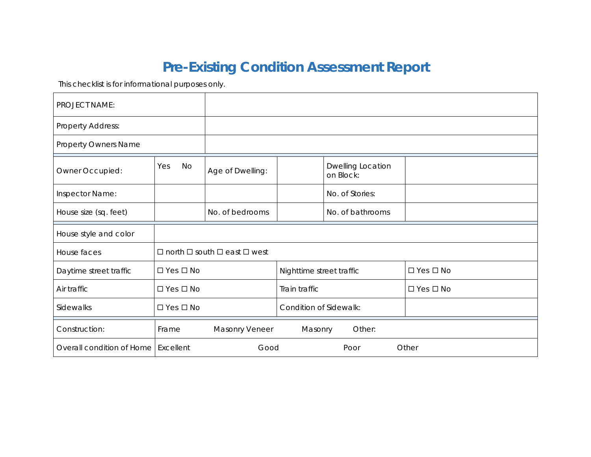## **Pre-Existing Condition Assessment Report**

This checklist is for informational purposes only.

| <b>PROJECT NAME:</b>                  |                            |                                                   |                          |                                |                      |
|---------------------------------------|----------------------------|---------------------------------------------------|--------------------------|--------------------------------|----------------------|
| <b>Property Address:</b>              |                            |                                                   |                          |                                |                      |
| <b>Property Owners Name</b>           |                            |                                                   |                          |                                |                      |
| Owner Occupied:                       | Yes<br>No                  | Age of Dwelling:                                  |                          | Dwelling Location<br>on Block: |                      |
| Inspector Name:                       |                            |                                                   |                          | No. of Stories:                |                      |
| House size (sq. feet)                 |                            | No. of bedrooms                                   |                          | No. of bathrooms               |                      |
| House style and color                 |                            |                                                   |                          |                                |                      |
| House faces                           |                            | $\Box$ north $\Box$ south $\Box$ east $\Box$ west |                          |                                |                      |
| Daytime street traffic                | $\Box$ Yes $\Box$ No       |                                                   | Nighttime street traffic |                                | $\Box$ Yes $\Box$ No |
| Air traffic                           | $\square$ Yes $\square$ No |                                                   | Train traffic            | □ Yes □ No                     |                      |
| Sidewalks                             | $\square$ Yes $\square$ No |                                                   | Condition of Sidewalk:   |                                |                      |
| Construction:                         | Frame                      | Masonry Veneer                                    | Masonry                  | Other:                         |                      |
| Overall condition of Home   Excellent |                            | Good                                              |                          | Poor                           | Other                |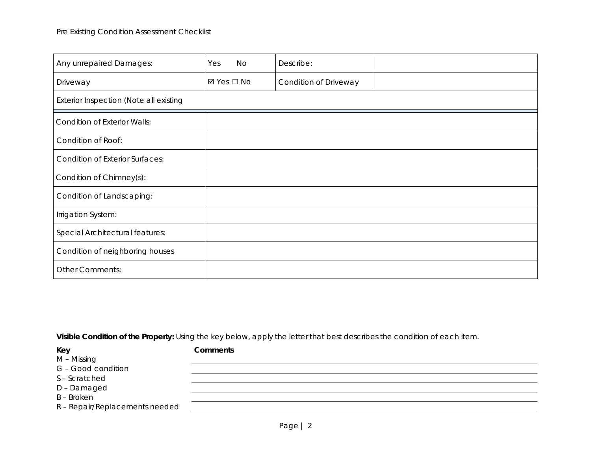| Any unrepaired Damages:                | <b>No</b><br>Yes          | Describe:             |  |
|----------------------------------------|---------------------------|-----------------------|--|
| Driveway                               | $\boxtimes$ Yes $\Box$ No | Condition of Driveway |  |
| Exterior Inspection (Note all existing |                           |                       |  |
| <b>Condition of Exterior Walls:</b>    |                           |                       |  |
| Condition of Roof:                     |                           |                       |  |
| <b>Condition of Exterior Surfaces:</b> |                           |                       |  |
| Condition of Chimney(s):               |                           |                       |  |
| Condition of Landscaping:              |                           |                       |  |
| Irrigation System:                     |                           |                       |  |
| Special Architectural features:        |                           |                       |  |
| Condition of neighboring houses        |                           |                       |  |
| <b>Other Comments:</b>                 |                           |                       |  |

| Key                            | <b>Comments</b> |
|--------------------------------|-----------------|
| M – Missing                    |                 |
| G - Good condition             |                 |
| S-Scratched                    |                 |
| D-Damaged                      |                 |
| <b>B-Broken</b>                |                 |
| R - Repair/Replacements needed |                 |
|                                |                 |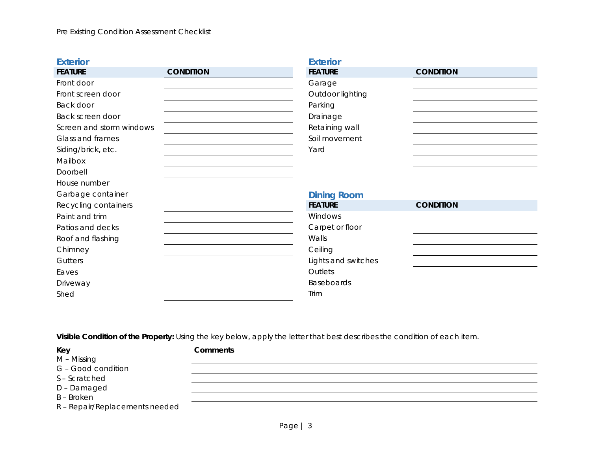## **Exterior FEATURE CONDITION** Front door Front screen door Back door Back screen door Screen and storm windows Glass and frames Siding/brick, etc. Mailbox Doorbell House number Garbage container Recycling containers Paint and trim Patios and decks Roof and flashing Chimney **Gutters** Eaves Driveway Shed **Exterior FEATURE CONDITION** Garage Outdoor lighting Parking Drainage Retaining wall Soil movement Yard **Dining Room FEATURE CONDITION** Windows Carpet or floor Walls **Ceiling** Lights and switches **Outlets** Baseboards Trim

**Visible Condition of the Property:** Using the key below, apply the letter that best describes the condition of each item.

**Key Comments**

G – Good condition

S – Scratched

D – Damaged

B – Broken

M – Missing

R – Repair/Replacements needed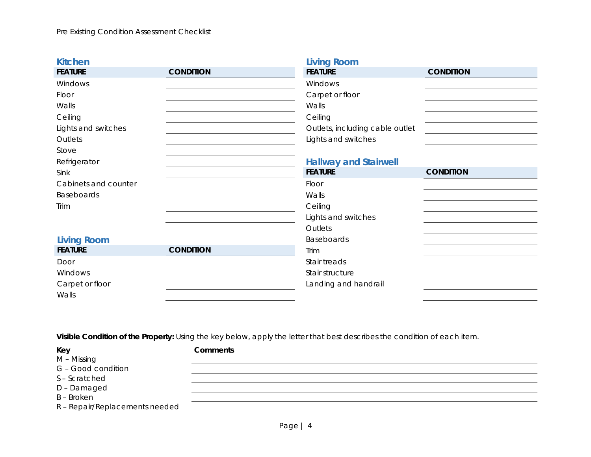| <b>Kitchen</b>       |                  | <b>Living Room</b>              |                  |
|----------------------|------------------|---------------------------------|------------------|
| <b>FEATURE</b>       | <b>CONDITION</b> | <b>FEATURE</b>                  | <b>CONDITION</b> |
| Windows              |                  | Windows                         |                  |
| Floor                |                  | Carpet or floor                 |                  |
| Walls                |                  | Walls                           |                  |
| Ceiling              |                  | Ceiling                         |                  |
| Lights and switches  |                  | Outlets, including cable outlet |                  |
| Outlets              |                  | Lights and switches             |                  |
| Stove                |                  |                                 |                  |
| Refrigerator         |                  | <b>Hallway and Stairwell</b>    |                  |
| Sink                 |                  | <b>FEATURE</b>                  | <b>CONDITION</b> |
| Cabinets and counter |                  | Floor                           |                  |
| Baseboards           |                  | Walls                           |                  |
| Trim                 |                  | Ceiling                         |                  |
|                      |                  | Lights and switches             |                  |
|                      |                  | Outlets                         |                  |
| <b>Living Room</b>   |                  | Baseboards                      |                  |
| <b>FEATURE</b>       | <b>CONDITION</b> | Trim                            |                  |
| Door                 |                  | Stair treads                    |                  |
| Windows              |                  | Stair structure                 |                  |
| Carpet or floor      |                  | Landing and handrail            |                  |
| Walls                |                  |                                 |                  |

**Key Comments**

M – Missing

G – Good condition

S – Scratched

D – Damaged

B – Broken

R – Repair/Replacements needed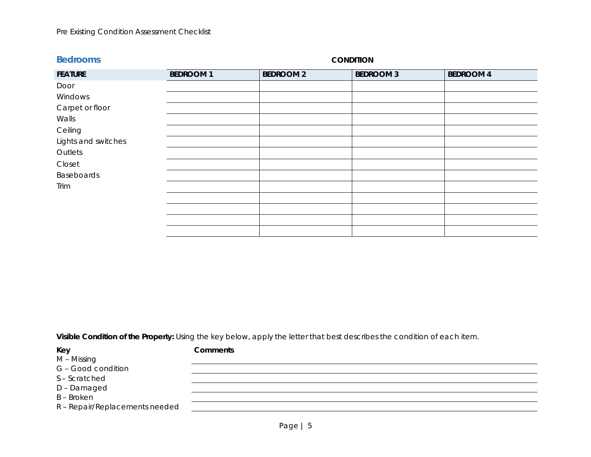## Pre Existing Condition Assessment Checklist

| <b>Bedrooms</b>     |                 | <b>CONDITION</b> |                  |                  |  |
|---------------------|-----------------|------------------|------------------|------------------|--|
| <b>FEATURE</b>      | <b>BEDROOM1</b> | <b>BEDROOM 2</b> | <b>BEDROOM 3</b> | <b>BEDROOM 4</b> |  |
| Door                |                 |                  |                  |                  |  |
| Windows             |                 |                  |                  |                  |  |
| Carpet or floor     |                 |                  |                  |                  |  |
| Walls               |                 |                  |                  |                  |  |
| Ceiling             |                 |                  |                  |                  |  |
| Lights and switches |                 |                  |                  |                  |  |
| Outlets             |                 |                  |                  |                  |  |
| Closet              |                 |                  |                  |                  |  |
| Baseboards          |                 |                  |                  |                  |  |
| Trim                |                 |                  |                  |                  |  |
|                     |                 |                  |                  |                  |  |
|                     |                 |                  |                  |                  |  |
|                     |                 |                  |                  |                  |  |
|                     |                 |                  |                  |                  |  |

| Key                            | <b>Comments</b> |
|--------------------------------|-----------------|
| M – Missing                    |                 |
| G - Good condition             |                 |
| S-Scratched                    |                 |
| D-Damaged                      |                 |
| B - Broken                     |                 |
| R - Repair/Replacements needed |                 |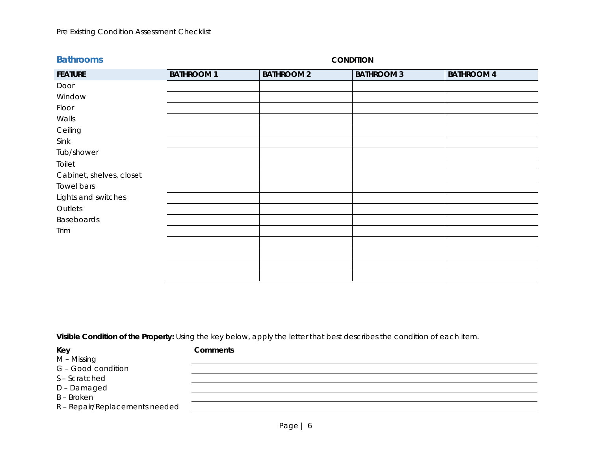| <b>Bathrooms</b>         |                   |                   | <b>CONDITION</b>  |                   |
|--------------------------|-------------------|-------------------|-------------------|-------------------|
| <b>FEATURE</b>           | <b>BATHROOM 1</b> | <b>BATHROOM 2</b> | <b>BATHROOM 3</b> | <b>BATHROOM 4</b> |
| Door                     |                   |                   |                   |                   |
| Window                   |                   |                   |                   |                   |
| Floor                    |                   |                   |                   |                   |
| Walls                    |                   |                   |                   |                   |
| Ceiling                  |                   |                   |                   |                   |
| Sink                     |                   |                   |                   |                   |
| Tub/shower               |                   |                   |                   |                   |
| Toilet                   |                   |                   |                   |                   |
| Cabinet, shelves, closet |                   |                   |                   |                   |
| Towel bars               |                   |                   |                   |                   |
| Lights and switches      |                   |                   |                   |                   |
| Outlets                  |                   |                   |                   |                   |
| Baseboards               |                   |                   |                   |                   |
| Trim                     |                   |                   |                   |                   |
|                          |                   |                   |                   |                   |
|                          |                   |                   |                   |                   |
|                          |                   |                   |                   |                   |
|                          |                   |                   |                   |                   |

| ×<br>۰. |  |
|---------|--|
| $\sim$  |  |

**Key Comments**

M – Missing

G – Good condition

S – Scratched

D – Damaged

B – Broken

R – Repair/Replacements needed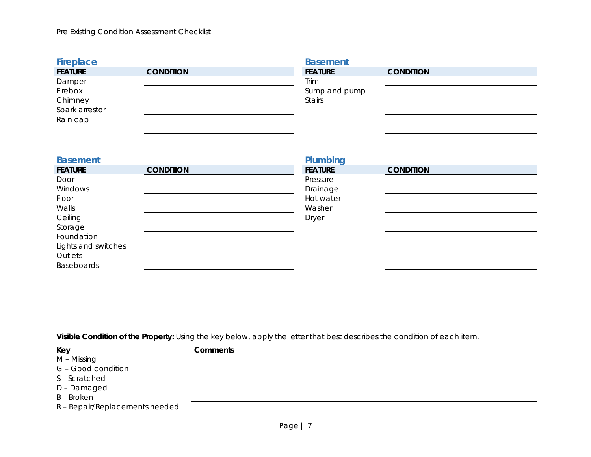| Fireplace      |                  | <b>Basement</b> |                  |
|----------------|------------------|-----------------|------------------|
| <b>FEATURE</b> | <b>CONDITION</b> | <b>FEATURE</b>  | <b>CONDITION</b> |
| Damper         |                  | Trim            |                  |
| Firebox        |                  | Sump and pump   |                  |
| Chimney        |                  | <b>Stairs</b>   |                  |
| Spark arrestor |                  |                 |                  |
| Rain cap       |                  |                 |                  |
|                |                  |                 |                  |

| <b>Basement</b>     |                  | Plumbing       |                  |
|---------------------|------------------|----------------|------------------|
| <b>FEATURE</b>      | <b>CONDITION</b> | <b>FEATURE</b> | <b>CONDITION</b> |
| Door                |                  | Pressure       |                  |
| Windows             |                  | Drainage       |                  |
| Floor               |                  | Hot water      |                  |
| Walls               |                  | Washer         |                  |
| Ceiling             |                  | <b>Dryer</b>   |                  |
| Storage             |                  |                |                  |
| Foundation          |                  |                |                  |
| Lights and switches |                  |                |                  |
| Outlets             |                  |                |                  |
| <b>Baseboards</b>   |                  |                |                  |

| Key                            | <b>Comments</b> |
|--------------------------------|-----------------|
| M – Missing                    |                 |
| G - Good condition             |                 |
| S-Scratched                    |                 |
| D-Damaged                      |                 |
| B – Broken                     |                 |
| R - Repair/Replacements needed |                 |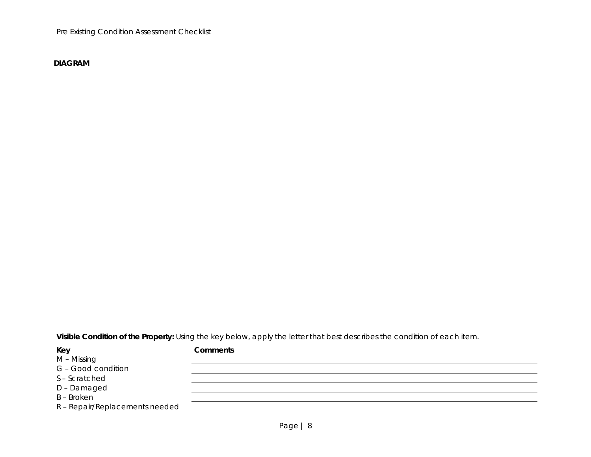Pre Existing Condition Assessment Checklist

**DIAGRAM**

| Key                            | Comments |
|--------------------------------|----------|
| M – Missing                    |          |
| G - Good condition             |          |
| S-Scratched                    |          |
| D-Damaged                      |          |
| B - Broken                     |          |
| R - Repair/Replacements needed |          |